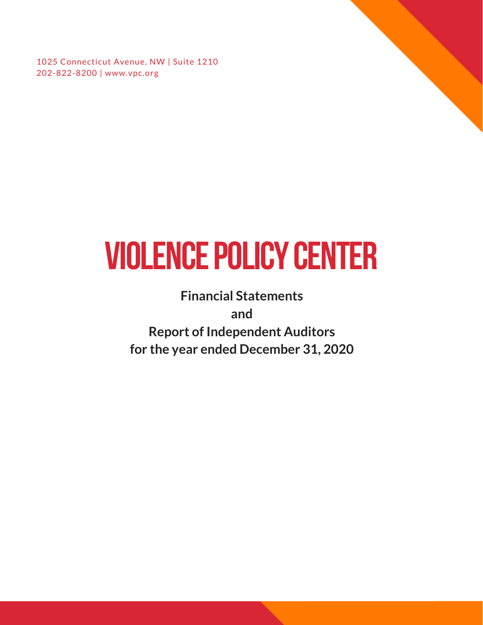1025 Connecticut Avenue, NW | Suite 1210 202-822-8200 | www.vpc.org

# **VIOLENCE POLICY CENTER**

**Financial Statements and Report of Independent Auditors for the year ended December 31, 2020**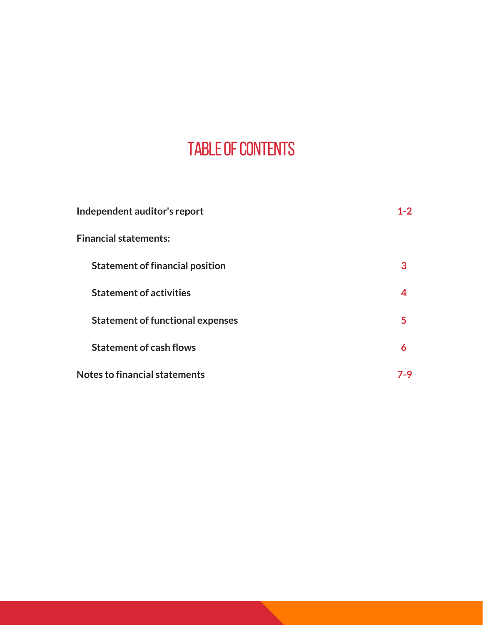# TABLE OF CONTENTS

| Independent auditor's report            | $ -2 $ |
|-----------------------------------------|--------|
| <b>Financial statements:</b>            |        |
| <b>Statement of financial position</b>  | З      |
| <b>Statement of activities</b>          |        |
| <b>Statement of functional expenses</b> | 5      |
| <b>Statement of cash flows</b>          | 6      |
| Notes to financial statements           | 7-9    |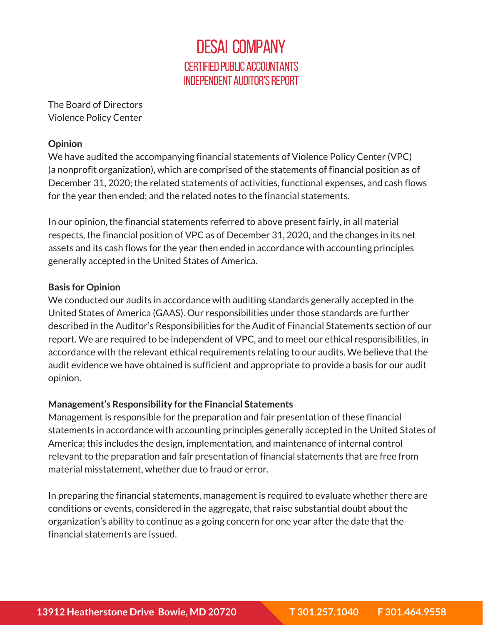## DESAI COMPANY CERTIFIED PUBLIC ACCOUNTANTS INDEPENDENT AUDITOR'S REPORT

The Board of Directors Violence Policy Center

#### **Opinion**

We have audited the accompanying financial statements of Violence Policy Center (VPC) (a nonprofit organization), which are comprised of the statements of financial position as of December 31, 2020; the related statements of activities, functional expenses, and cash flows for the year then ended; and the related notes to the financial statements.

In our opinion, the financial statements referred to above present fairly, in all material respects, the financial position of VPC as of December 31, 2020, and the changes in its net assets and its cash flows for the year then ended in accordance with accounting principles generally accepted in the United States of America.

#### **Basis for Opinion**

We conducted our audits in accordance with auditing standards generally accepted in the United States of America (GAAS). Our responsibilities under those standards are further described in the Auditor's Responsibilities for the Audit of Financial Statements section of our report. We are required to be independent of VPC, and to meet our ethical responsibilities, in accordance with the relevant ethical requirements relating to our audits. We believe that the audit evidence we have obtained is sufficient and appropriate to provide a basis for our audit opinion.

#### **Management's Responsibility for the Financial Statements**

Management is responsible for the preparation and fair presentation of these financial statements in accordance with accounting principles generally accepted in the United States of America; this includes the design, implementation, and maintenance of internal control relevant to the preparation and fair presentation of financial statements that are free from material misstatement, whether due to fraud or error.

In preparing the financial statements, management is required to evaluate whether there are conditions or events, considered in the aggregate, that raise substantial doubt about the organization's ability to continue as a going concern for one year after the date that the financial statements are issued.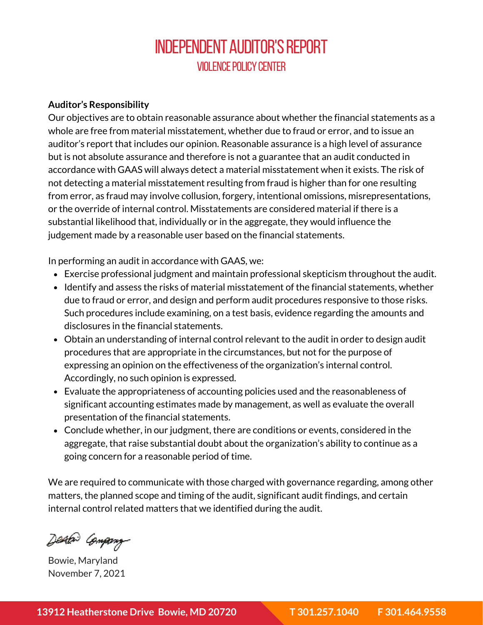## **INDEPENDENT AUDITOR'S REPORT** VIOLENCE POLICY CENTER

#### **Auditor's Responsibility**

Our objectives are to obtain reasonable assurance about whether the financial statements as a whole are free from material misstatement, whether due to fraud or error, and to issue an auditor's report that includes our opinion. Reasonable assurance is a high level of assurance but is not absolute assurance and therefore is not a guarantee that an audit conducted in accordance with GAAS will always detect a material misstatement when it exists. The risk of not detecting a material misstatement resulting from fraud is higher than for one resulting from error, as fraud may involve collusion, forgery, intentional omissions, misrepresentations, or the override of internal control. Misstatements are considered material if there is a substantial likelihood that, individually or in the aggregate, they would influence the judgement made by a reasonable user based on the financial statements.

In performing an audit in accordance with GAAS, we:

- Exercise professional judgment and maintain professional skepticism throughout the audit.
- Identify and assess the risks of material misstatement of the financial statements, whether due to fraud or error, and design and perform audit procedures responsive to those risks. Such procedures include examining, on a test basis, evidence regarding the amounts and disclosures in the financial statements.
- Obtain an understanding of internal control relevant to the audit in order to design audit procedures that are appropriate in the circumstances, but not for the purpose of expressing an opinion on the effectiveness of the organization's internal control. Accordingly, no such opinion is expressed.
- Evaluate the appropriateness of accounting policies used and the reasonableness of significant accounting estimates made by management, as well as evaluate the overall presentation of the financial statements.
- Conclude whether, in our judgment, there are conditions or events, considered in the aggregate, that raise substantial doubt about the organization's ability to continue as a going concern for a reasonable period of time.

We are required to communicate with those charged with governance regarding, among other matters, the planned scope and timing of the audit, significant audit findings, and certain internal control related matters that we identified during the audit.

Dealo<sup>s</sup> (gmpony-

Bowie, Maryland November 7, 2021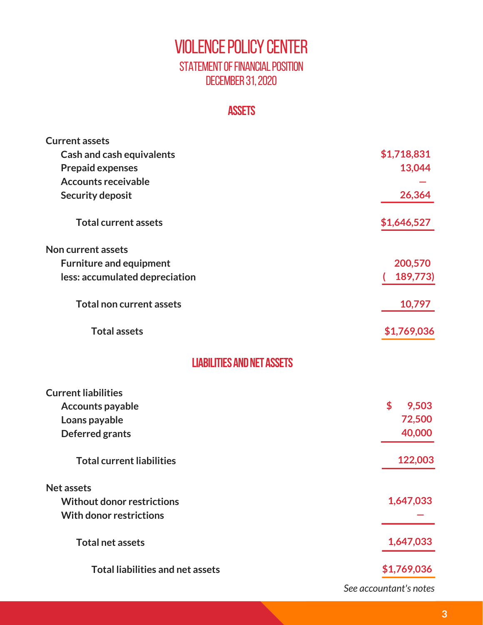## **VIOLENCE POLICY CENTER** STATEMENT OF FINANCIAL POSITION DECEMBER31,2020

## **ASSETS**

| <b>Current assets</b>                   |                        |
|-----------------------------------------|------------------------|
| <b>Cash and cash equivalents</b>        | \$1,718,831            |
| <b>Prepaid expenses</b>                 | 13,044                 |
| <b>Accounts receivable</b>              |                        |
| <b>Security deposit</b>                 | 26,364                 |
| <b>Total current assets</b>             | \$1,646,527            |
| Non current assets                      |                        |
| <b>Furniture and equipment</b>          | 200,570                |
| less: accumulated depreciation          | 189,773)               |
| <b>Total non current assets</b>         | 10,797                 |
| <b>Total assets</b>                     | \$1,769,036            |
| <b>LIABILITIES AND NET ASSETS</b>       |                        |
| <b>Current liabilities</b>              |                        |
| <b>Accounts payable</b>                 | \$<br>9,503            |
| Loans payable                           | 72,500                 |
| Deferred grants                         | 40,000                 |
| <b>Total current liabilities</b>        | 122,003                |
| <b>Net assets</b>                       |                        |
| <b>Without donor restrictions</b>       | 1,647,033              |
| <b>With donor restrictions</b>          |                        |
| <b>Total net assets</b>                 | 1,647,033              |
| <b>Total liabilities and net assets</b> | \$1,769,036            |
|                                         | See accountant's notes |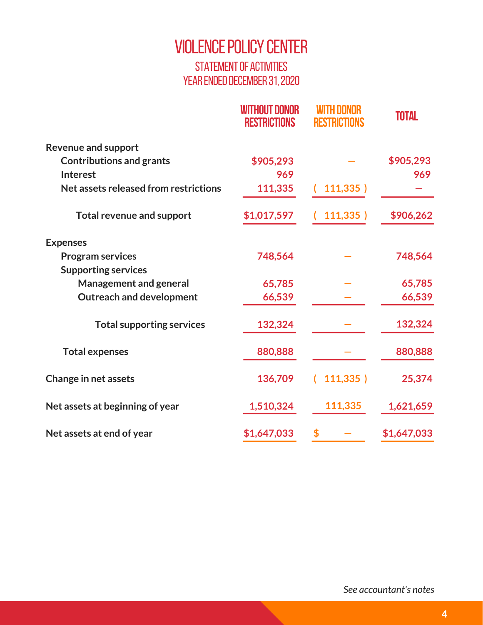## **VIOLENCE POLICY CENTER** STATEMENT OF ACTIVITIES

YEAR ENDED DECEMBER 31, 2020

|                                       | THOLIT DIONOR<br><b>RESTRICTIONS</b> | RESTRICTIONS | <b>TOTAL</b> |
|---------------------------------------|--------------------------------------|--------------|--------------|
| <b>Revenue and support</b>            |                                      |              |              |
| <b>Contributions and grants</b>       | \$905,293                            |              | \$905,293    |
| <b>Interest</b>                       | 969                                  |              | 969          |
| Net assets released from restrictions | 111,335                              | 111,335)     |              |
| <b>Total revenue and support</b>      | \$1,017,597                          | 111,335)     | \$906,262    |
| <b>Expenses</b>                       |                                      |              |              |
| <b>Program services</b>               | 748,564                              |              | 748,564      |
| <b>Supporting services</b>            |                                      |              |              |
| <b>Management and general</b>         | 65,785                               |              | 65,785       |
| <b>Outreach and development</b>       | 66,539                               |              | 66,539       |
| <b>Total supporting services</b>      | 132,324                              |              | 132,324      |
| <b>Total expenses</b>                 | 880,888                              |              | 880,888      |
| Change in net assets                  | 136,709                              | 111,335)     | 25,374       |
| Net assets at beginning of year       | 1,510,324                            | 111,335      | 1,621,659    |
| Net assets at end of year             | \$1,647,033                          | \$           | \$1,647,033  |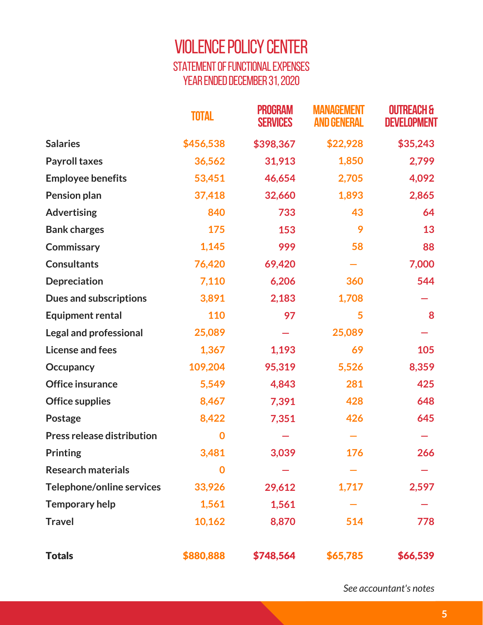## **VIOLENCE POLICY CENTER** STATEMENT OF FUNCTIONAL EXPENSES YEAR ENDED DECEMBER 31, 2020

|                                   | <b>TOTAL</b> | <b>PROGRAM</b><br><b>SERVICES</b> | <b>MANAGEMENT</b><br><b>AND GENERAL</b> | OUTREACH &<br><b>DEVELOPMENT</b> |
|-----------------------------------|--------------|-----------------------------------|-----------------------------------------|----------------------------------|
| <b>Salaries</b>                   | \$456,538    | \$398,367                         | \$22,928                                | \$35,243                         |
| <b>Payroll taxes</b>              | 36,562       | 31,913                            | 1,850                                   | 2,799                            |
| <b>Employee benefits</b>          | 53,451       | 46,654                            | 2,705                                   | 4,092                            |
| <b>Pension plan</b>               | 37,418       | 32,660                            | 1,893                                   | 2,865                            |
| <b>Advertising</b>                | 840          | 733                               | 43                                      | 64                               |
| <b>Bank charges</b>               | 175          | 153                               | 9                                       | 13                               |
| Commissary                        | 1,145        | 999                               | 58                                      | 88                               |
| <b>Consultants</b>                | 76,420       | 69,420                            |                                         | 7,000                            |
| <b>Depreciation</b>               | 7,110        | 6,206                             | 360                                     | 544                              |
| <b>Dues and subscriptions</b>     | 3,891        | 2,183                             | 1,708                                   |                                  |
| <b>Equipment rental</b>           | 110          | 97                                | 5                                       | 8                                |
| <b>Legal and professional</b>     | 25,089       |                                   | 25,089                                  |                                  |
| <b>License and fees</b>           | 1,367        | 1,193                             | 69                                      | 105                              |
| <b>Occupancy</b>                  | 109,204      | 95,319                            | 5,526                                   | 8,359                            |
| <b>Office insurance</b>           | 5,549        | 4,843                             | 281                                     | 425                              |
| <b>Office supplies</b>            | 8,467        | 7,391                             | 428                                     | 648                              |
| Postage                           | 8,422        | 7,351                             | 426                                     | 645                              |
| <b>Press release distribution</b> | 0            |                                   |                                         |                                  |
| <b>Printing</b>                   | 3,481        | 3,039                             | 176                                     | 266                              |
| <b>Research materials</b>         | 0            |                                   |                                         |                                  |
| <b>Telephone/online services</b>  | 33,926       | 29,612                            | 1,717                                   | 2,597                            |
| <b>Temporary help</b>             | 1,561        | 1,561                             |                                         |                                  |
| <b>Travel</b>                     | 10,162       | 8,870                             | 514                                     | 778                              |
| <b>Totals</b>                     | \$880,888    | \$748,564                         | \$65,785                                | \$66,539                         |

*See accountant's notes*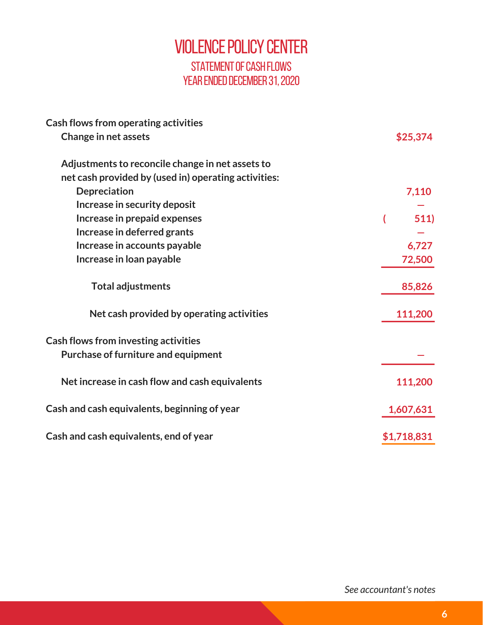## **VIOLENCE POLICY CENTER** STATEMENT OF CASH FLOWS YEAR ENDED DECEMBER 31, 2020

| Cash flows from operating activities                 |             |
|------------------------------------------------------|-------------|
| Change in net assets                                 | \$25,374    |
| Adjustments to reconcile change in net assets to     |             |
| net cash provided by (used in) operating activities: |             |
| <b>Depreciation</b>                                  | 7,110       |
| Increase in security deposit                         |             |
| Increase in prepaid expenses                         | 511)        |
| Increase in deferred grants                          |             |
| Increase in accounts payable                         | 6,727       |
| Increase in loan payable                             | 72,500      |
| <b>Total adjustments</b>                             | 85,826      |
| Net cash provided by operating activities            | 111,200     |
| Cash flows from investing activities                 |             |
| <b>Purchase of furniture and equipment</b>           |             |
| Net increase in cash flow and cash equivalents       | 111,200     |
| Cash and cash equivalents, beginning of year         | 1,607,631   |
| Cash and cash equivalents, end of year               | \$1,718,831 |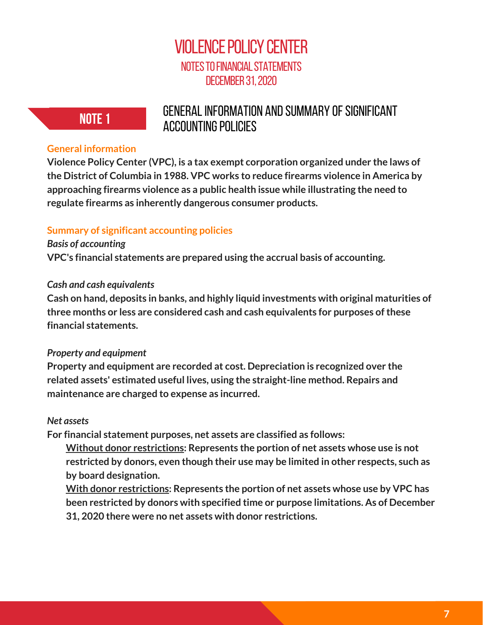## **VIOLENCE POLICY CENTER** NOTES TO FINANCIAL STATEMENTS DECEMBER31,2020

## **NOTE 1**

## Generalinformation andsummary ofsignificant ACCOUNTING POLICIES

#### **General information**

**Violence Policy Center (VPC), is a tax exempt corporation organized under the laws of the District of Columbia in 1988. VPC works to reduce firearms violence in America by approaching firearms violence as a public health issue while illustrating the need to regulate firearms as inherently dangerous consumer products.**

### **Summary of significant accounting policies**

#### *Basis of accounting*

**VPC's financial statements are prepared using the accrual basis of accounting.**

#### *Cash and cash equivalents*

**Cash on hand, deposits in banks, and highly liquid investments with original maturities of three months or less are considered cash and cash equivalents for purposes ofthese financial statements.**

#### *Property and equipment*

**Property and equipment are recorded at cost. Depreciation is recognized over the related assets' estimated useful lives, using the straight-line method. Repairs and maintenance are charged to expense as incurred.**

#### *Net assets*

**For financial statement purposes, net assets are classified as follows:**

**Without donor restrictions: Represents the portion of net assets whose use is not restricted by donors, even though their use may be limited in other respects, such as by board designation.**

**With donor restrictions: Represents the portion of net assets whose use by VPC has been restricted by donors with specified time or purpose limitations. As of December 31, 2020 there were no net assets with donor restrictions.**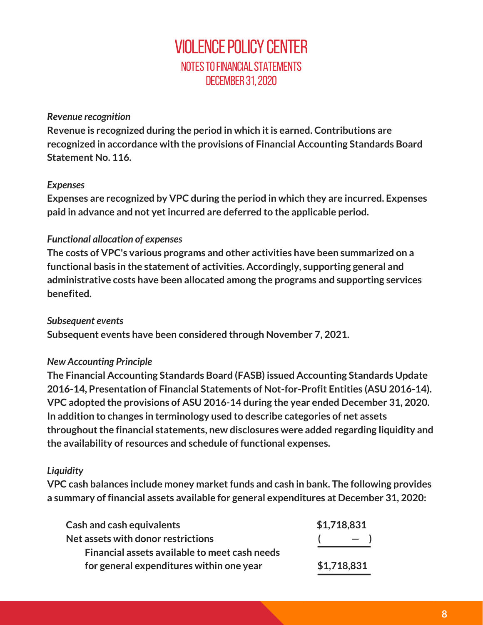## **VIOLENCE POLICY CENTER** NOTES TO FINANCIAL STATEMENTS DECEMBER31,2020

#### *Revenue recognition*

**Revenue is recognized during the period in which itis earned. Contributions are recognized in accordance with the provisions of Financial Accounting Standards Board Statement No. 116.**

#### *Expenses*

**Expenses are recognized by VPC during the period in which they are incurred. Expenses paid in advance and not yetincurred are deferred to the applicable period.**

#### *Functional allocation of expenses*

**The costs of VPC's various programs and other activities have been summarized on a functional basis in the statement of activities. Accordingly, supporting general and administrative costs have been allocated among the programs and supporting services benefited.**

#### *Subsequent events*

**Subsequent events have been considered through November 7, 2021.**

#### *New Accounting Principle*

**The Financial Accounting Standards Board (FASB) issued Accounting Standards Update 2016-14, Presentation of Financial Statements of Not-for-Profit Entities (ASU 2016-14). VPC adopted the provisions of ASU 2016-14 during the year ended December 31, 2020. In addition to changes in terminology used to describe categories of net assets throughoutthe financial statements, new disclosures were added regarding liquidity and the availability of resources and schedule of functional expenses.**

#### *Liquidity*

**VPC cash balances include money marketfunds and cash in bank. The following provides a summary of financial assets available for general expenditures at December 31, 2020:**

| <b>Cash and cash equivalents</b>              | \$1,718,831 |
|-----------------------------------------------|-------------|
| Net assets with donor restrictions            | $-$ )       |
| Financial assets available to meet cash needs |             |
| for general expenditures within one year      | \$1,718,831 |